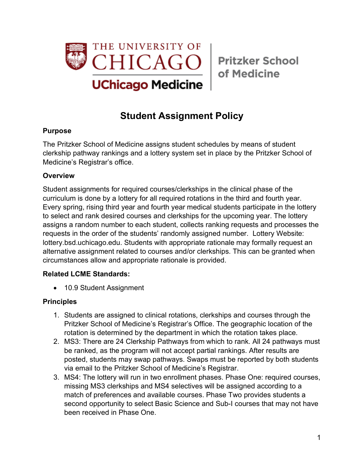

of Medicine

# **Student Assignment Policy**

### **Purpose**

The Pritzker School of Medicine assigns student schedules by means of student clerkship pathway rankings and a lottery system set in place by the Pritzker School of Medicine's Registrar's office.

#### **Overview**

Student assignments for required courses/clerkships in the clinical phase of the curriculum is done by a lottery for all required rotations in the third and fourth year. Every spring, rising third year and fourth year medical students participate in the lottery to select and rank desired courses and clerkships for the upcoming year. The lottery assigns a random number to each student, collects ranking requests and processes the requests in the order of the students' randomly assigned number. Lottery Website: lottery.bsd.uchicago.edu. Students with appropriate rationale may formally request an alternative assignment related to courses and/or clerkships. This can be granted when circumstances allow and appropriate rationale is provided.

### **Related LCME Standards:**

• 10.9 Student Assignment

### **Principles**

- 1. Students are assigned to clinical rotations, clerkships and courses through the Pritzker School of Medicine's Registrar's Office. The geographic location of the rotation is determined by the department in which the rotation takes place.
- 2. MS3: There are 24 Clerkship Pathways from which to rank. All 24 pathways must be ranked, as the program will not accept partial rankings. After results are posted, students may swap pathways. Swaps must be reported by both students via email to the Pritzker School of Medicine's Registrar.
- 3. MS4: The lottery will run in two enrollment phases. Phase One: required courses, missing MS3 clerkships and MS4 selectives will be assigned according to a match of preferences and available courses. Phase Two provides students a second opportunity to select Basic Science and Sub-I courses that may not have been received in Phase One.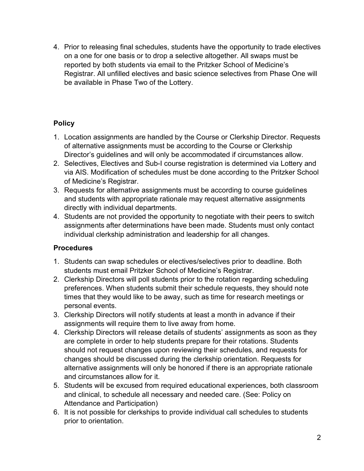4. Prior to releasing final schedules, students have the opportunity to trade electives on a one for one basis or to drop a selective altogether. All swaps must be reported by both students via email to the Pritzker School of Medicine's Registrar. All unfilled electives and basic science selectives from Phase One will be available in Phase Two of the Lottery.

## **Policy**

- 1. Location assignments are handled by the Course or Clerkship Director. Requests of alternative assignments must be according to the Course or Clerkship Director's guidelines and will only be accommodated if circumstances allow.
- 2. Selectives, Electives and Sub-I course registration is determined via Lottery and via AIS. Modification of schedules must be done according to the Pritzker School of Medicine's Registrar.
- 3. Requests for alternative assignments must be according to course guidelines and students with appropriate rationale may request alternative assignments directly with individual departments.
- 4. Students are not provided the opportunity to negotiate with their peers to switch assignments after determinations have been made. Students must only contact individual clerkship administration and leadership for all changes.

## **Procedures**

- 1. Students can swap schedules or electives/selectives prior to deadline. Both students must email Pritzker School of Medicine's Registrar.
- 2. Clerkship Directors will poll students prior to the rotation regarding scheduling preferences. When students submit their schedule requests, they should note times that they would like to be away, such as time for research meetings or personal events.
- 3. Clerkship Directors will notify students at least a month in advance if their assignments will require them to live away from home.
- 4. Clerkship Directors will release details of students' assignments as soon as they are complete in order to help students prepare for their rotations. Students should not request changes upon reviewing their schedules, and requests for changes should be discussed during the clerkship orientation. Requests for alternative assignments will only be honored if there is an appropriate rationale and circumstances allow for it.
- 5. Students will be excused from required educational experiences, both classroom and clinical, to schedule all necessary and needed care. (See: Policy on Attendance and Participation)
- 6. It is not possible for clerkships to provide individual call schedules to students prior to orientation.